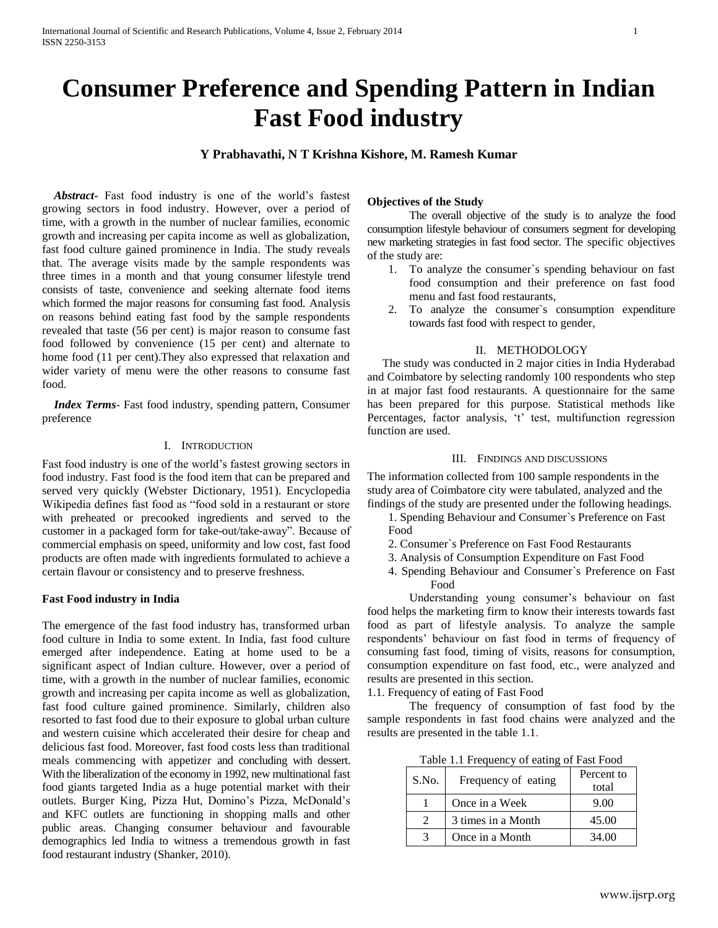# **Consumer Preference and Spending Pattern in Indian Fast Food industry**

**Y Prabhavathi, N T Krishna Kishore, M. Ramesh Kumar**

 *Abstract***-** Fast food industry is one of the world's fastest growing sectors in food industry. However, over a period of time, with a growth in the number of nuclear families, economic growth and increasing per capita income as well as globalization, fast food culture gained prominence in India. The study reveals that. The average visits made by the sample respondents was three times in a month and that young consumer lifestyle trend consists of taste, convenience and seeking alternate food items which formed the major reasons for consuming fast food. Analysis on reasons behind eating fast food by the sample respondents revealed that taste (56 per cent) is major reason to consume fast food followed by convenience (15 per cent) and alternate to home food (11 per cent).They also expressed that relaxation and wider variety of menu were the other reasons to consume fast food.

 *Index Terms*- Fast food industry, spending pattern, Consumer preference

## I. INTRODUCTION

Fast food industry is one of the world's fastest growing sectors in food industry. Fast food is the food item that can be prepared and served very quickly (Webster Dictionary, 1951). Encyclopedia Wikipedia defines fast food as "food sold in a restaurant or store with preheated or precooked ingredients and served to the customer in a packaged form for take-out/take-away". Because of commercial emphasis on speed, uniformity and low cost, fast food products are often made with ingredients formulated to achieve a certain flavour or consistency and to preserve freshness.

## **Fast Food industry in India**

The emergence of the fast food industry has, transformed urban food culture in India to some extent. In India, fast food culture emerged after independence. Eating at home used to be a significant aspect of Indian culture. However, over a period of time, with a growth in the number of nuclear families, economic growth and increasing per capita income as well as globalization, fast food culture gained prominence. Similarly, children also resorted to fast food due to their exposure to global urban culture and western cuisine which accelerated their desire for cheap and delicious fast food. Moreover, fast food costs less than traditional meals commencing with appetizer and concluding with dessert. With the liberalization of the economy in 1992, new multinational fast food giants targeted India as a huge potential market with their outlets. Burger King, Pizza Hut, Domino's Pizza, McDonald's and KFC outlets are functioning in shopping malls and other public areas. Changing consumer behaviour and favourable demographics led India to witness a tremendous growth in fast food restaurant industry (Shanker, 2010).

# **Objectives of the Study**

The overall objective of the study is to analyze the food consumption lifestyle behaviour of consumers segment for developing new marketing strategies in fast food sector. The specific objectives of the study are:

- 1. To analyze the consumer`s spending behaviour on fast food consumption and their preference on fast food menu and fast food restaurants,
- 2. To analyze the consumer`s consumption expenditure towards fast food with respect to gender,

#### II. METHODOLOGY

 The study was conducted in 2 major cities in India Hyderabad and Coimbatore by selecting randomly 100 respondents who step in at major fast food restaurants. A questionnaire for the same has been prepared for this purpose. Statistical methods like Percentages, factor analysis, 't' test, multifunction regression function are used.

# III. FINDINGS AND DISCUSSIONS

The information collected from 100 sample respondents in the study area of Coimbatore city were tabulated, analyzed and the findings of the study are presented under the following headings.

- 1. Spending Behaviour and Consumer`s Preference on Fast Food
- 2. Consumer`s Preference on Fast Food Restaurants
- 3. Analysis of Consumption Expenditure on Fast Food
- 4. Spending Behaviour and Consumer`s Preference on Fast Food

Understanding young consumer's behaviour on fast food helps the marketing firm to know their interests towards fast food as part of lifestyle analysis. To analyze the sample respondents' behaviour on fast food in terms of frequency of consuming fast food, timing of visits, reasons for consumption, consumption expenditure on fast food, etc., were analyzed and results are presented in this section.

1.1. Frequency of eating of Fast Food

The frequency of consumption of fast food by the sample respondents in fast food chains were analyzed and the results are presented in the table 1.1.

| S.No. | Frequency of eating | Percent to<br>total |
|-------|---------------------|---------------------|
|       | Once in a Week      | 9.00                |
| 2     | 3 times in a Month  | 45.00               |
| 3     | Once in a Month     | 34.00               |

Table 1.1 Frequency of eating of Fast Food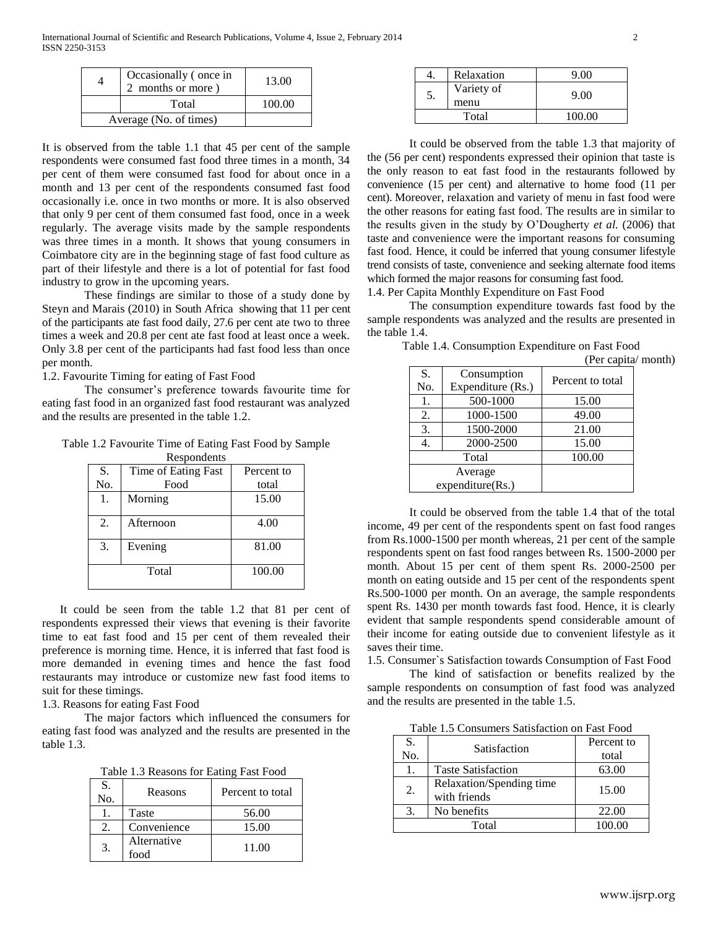|                        | Occasionally (once in<br>2 months or more) | 13.00  |
|------------------------|--------------------------------------------|--------|
|                        | Total                                      | 100.00 |
| Average (No. of times) |                                            |        |

It is observed from the table 1.1 that 45 per cent of the sample respondents were consumed fast food three times in a month, 34 per cent of them were consumed fast food for about once in a month and 13 per cent of the respondents consumed fast food occasionally i.e. once in two months or more. It is also observed that only 9 per cent of them consumed fast food, once in a week regularly. The average visits made by the sample respondents was three times in a month. It shows that young consumers in Coimbatore city are in the beginning stage of fast food culture as part of their lifestyle and there is a lot of potential for fast food industry to grow in the upcoming years.

These findings are similar to those of a study done by Steyn and Marais (2010) in South Africa showing that 11 per cent of the participants ate fast food daily, 27.6 per cent ate two to three times a week and 20.8 per cent ate fast food at least once a week. Only 3.8 per cent of the participants had fast food less than once per month.

1.2. Favourite Timing for eating of Fast Food

The consumer's preference towards favourite time for eating fast food in an organized fast food restaurant was analyzed and the results are presented in the table 1.2.

Table 1.2 Favourite Time of Eating Fast Food by Sample

| Respondents |
|-------------|
|-------------|

| S.  | Time of Eating Fast | Percent to |
|-----|---------------------|------------|
| No. | Food                | total      |
| 1.  | Morning             | 15.00      |
| 2.  | Afternoon           | 4.00       |
| 3.  | Evening             | 81.00      |
|     | Total               | 100.00     |

 It could be seen from the table 1.2 that 81 per cent of respondents expressed their views that evening is their favorite time to eat fast food and 15 per cent of them revealed their preference is morning time. Hence, it is inferred that fast food is more demanded in evening times and hence the fast food restaurants may introduce or customize new fast food items to suit for these timings.

1.3. Reasons for eating Fast Food

The major factors which influenced the consumers for eating fast food was analyzed and the results are presented in the table 1.3.

Table 1.3 Reasons for Eating Fast Food

| S.<br>No. | Reasons             | Percent to total |
|-----------|---------------------|------------------|
|           | Taste               | 56.00            |
|           | Convenience         | 15.00            |
| 3.        | Alternative<br>food | 11.00            |

|    | Relaxation         | 9.00   |
|----|--------------------|--------|
| 5. | Variety of<br>menu | 9.00   |
|    | Total              | 100.00 |

 It could be observed from the table 1.3 that majority of the (56 per cent) respondents expressed their opinion that taste is the only reason to eat fast food in the restaurants followed by convenience (15 per cent) and alternative to home food (11 per cent). Moreover, relaxation and variety of menu in fast food were the other reasons for eating fast food. The results are in similar to the results given in the study by O'Dougherty *et al.* (2006) that taste and convenience were the important reasons for consuming fast food. Hence, it could be inferred that young consumer lifestyle trend consists of taste, convenience and seeking alternate food items which formed the major reasons for consuming fast food.

1.4. Per Capita Monthly Expenditure on Fast Food

The consumption expenditure towards fast food by the sample respondents was analyzed and the results are presented in the table 1.4.

| S.<br>No.        | Consumption<br>Expenditure (Rs.) | Percent to total |
|------------------|----------------------------------|------------------|
| 1.               | 500-1000                         | 15.00            |
| 2.               | 1000-1500                        | 49.00            |
| 3.               | 1500-2000                        | 21.00            |
| 4.               | 2000-2500                        | 15.00            |
| Total            |                                  | 100.00           |
| Average          |                                  |                  |
| expenditure(Rs.) |                                  |                  |

Table 1.4. Consumption Expenditure on Fast Food (Per capita/ month)

It could be observed from the table 1.4 that of the total income, 49 per cent of the respondents spent on fast food ranges from Rs.1000-1500 per month whereas, 21 per cent of the sample respondents spent on fast food ranges between Rs. 1500-2000 per month. About 15 per cent of them spent Rs. 2000-2500 per month on eating outside and 15 per cent of the respondents spent Rs.500-1000 per month. On an average, the sample respondents spent Rs. 1430 per month towards fast food. Hence, it is clearly evident that sample respondents spend considerable amount of their income for eating outside due to convenient lifestyle as it saves their time.

1.5. Consumer`s Satisfaction towards Consumption of Fast Food

The kind of satisfaction or benefits realized by the sample respondents on consumption of fast food was analyzed and the results are presented in the table 1.5.

Table 1.5 Consumers Satisfaction on Fast Food

| S.<br>No. | Satisfaction                             | Percent to<br>total |
|-----------|------------------------------------------|---------------------|
|           | <b>Taste Satisfaction</b>                | 63.00               |
| 2.        | Relaxation/Spending time<br>with friends | 15.00               |
| 3.        | No benefits                              | 22.00               |
| Total     |                                          | 100.00              |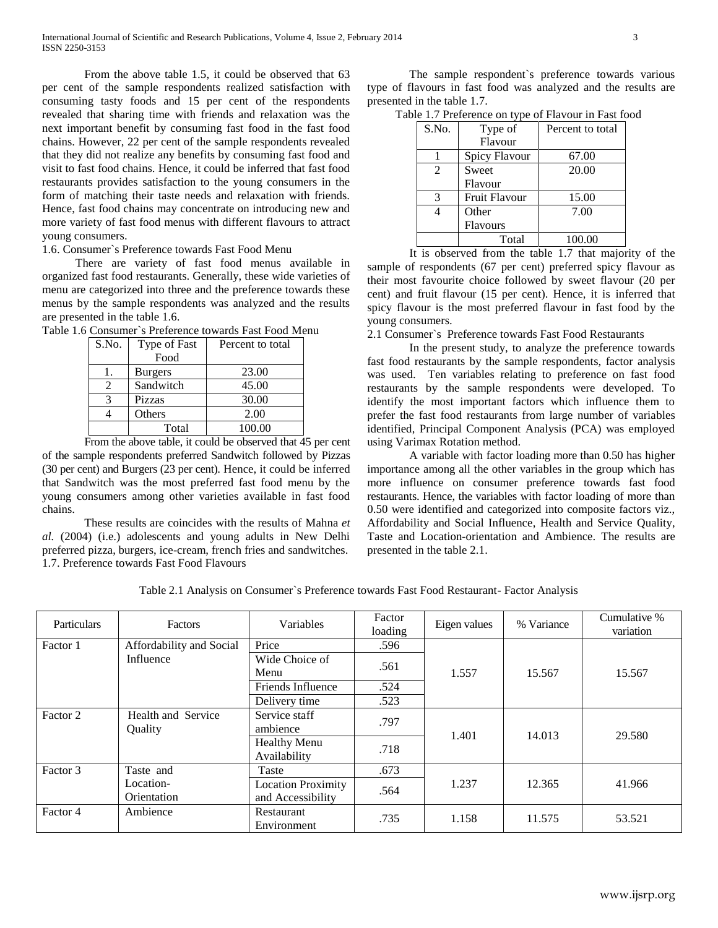From the above table 1.5, it could be observed that 63 per cent of the sample respondents realized satisfaction with consuming tasty foods and 15 per cent of the respondents revealed that sharing time with friends and relaxation was the next important benefit by consuming fast food in the fast food chains. However, 22 per cent of the sample respondents revealed that they did not realize any benefits by consuming fast food and visit to fast food chains. Hence, it could be inferred that fast food restaurants provides satisfaction to the young consumers in the form of matching their taste needs and relaxation with friends. Hence, fast food chains may concentrate on introducing new and more variety of fast food menus with different flavours to attract young consumers.

1.6. Consumer`s Preference towards Fast Food Menu

There are variety of fast food menus available in organized fast food restaurants. Generally, these wide varieties of menu are categorized into three and the preference towards these menus by the sample respondents was analyzed and the results are presented in the table 1.6.

| S.No.          | Type of Fast   | Percent to total |
|----------------|----------------|------------------|
|                | Food           |                  |
|                | <b>Burgers</b> | 23.00            |
| $\mathfrak{D}$ | Sandwitch      | 45.00            |
| 3              | Pizzas         | 30.00            |
|                | Others         | 2.00             |
|                | Total          | 100.00           |

From the above table, it could be observed that 45 per cent of the sample respondents preferred Sandwitch followed by Pizzas (30 per cent) and Burgers (23 per cent). Hence, it could be inferred that Sandwitch was the most preferred fast food menu by the young consumers among other varieties available in fast food chains.

These results are coincides with the results of Mahna *et al.* (2004) (i.e.) adolescents and young adults in New Delhi preferred pizza, burgers, ice-cream, french fries and sandwitches. 1.7. Preference towards Fast Food Flavours

The sample respondent`s preference towards various type of flavours in fast food was analyzed and the results are presented in the table 1.7.

| S.No.          | Type of              | Percent to total |
|----------------|----------------------|------------------|
|                | Flavour              |                  |
|                | Spicy Flavour        | 67.00            |
| $\mathfrak{D}$ | Sweet                | 20.00            |
|                | Flavour              |                  |
| $\mathcal{R}$  | <b>Fruit Flavour</b> | 15.00            |
|                | Other                | 7.00             |
|                | <b>Flavours</b>      |                  |
|                | Total                | 100.00           |

It is observed from the table 1.7 that majority of the sample of respondents (67 per cent) preferred spicy flavour as their most favourite choice followed by sweet flavour (20 per cent) and fruit flavour (15 per cent). Hence, it is inferred that spicy flavour is the most preferred flavour in fast food by the young consumers.

2.1 Consumer`s Preference towards Fast Food Restaurants

In the present study, to analyze the preference towards fast food restaurants by the sample respondents, factor analysis was used. Ten variables relating to preference on fast food restaurants by the sample respondents were developed. To identify the most important factors which influence them to prefer the fast food restaurants from large number of variables identified, Principal Component Analysis (PCA) was employed using Varimax Rotation method.

A variable with factor loading more than 0.50 has higher importance among all the other variables in the group which has more influence on consumer preference towards fast food restaurants. Hence, the variables with factor loading of more than 0.50 were identified and categorized into composite factors viz., Affordability and Social Influence, Health and Service Quality, Taste and Location-orientation and Ambience. The results are presented in the table 2.1.

| Particulars | <b>Factors</b>                        | Variables                                      | Factor<br>loading | Eigen values | % Variance | Cumulative %<br>variation |
|-------------|---------------------------------------|------------------------------------------------|-------------------|--------------|------------|---------------------------|
| Factor 1    | Affordability and Social<br>Influence | Price                                          | .596              |              | 15.567     | 15.567                    |
|             |                                       | Wide Choice of<br>Menu                         | .561              | 1.557        |            |                           |
|             |                                       | Friends Influence                              | .524              |              |            |                           |
|             |                                       | Delivery time                                  | .523              |              |            |                           |
| Factor 2    | Health and Service<br>Quality         | Service staff<br>ambience                      | .797              | 1.401        | 14.013     | 29.580                    |
|             |                                       | <b>Healthy Menu</b><br>Availability            | .718              |              |            |                           |
| Factor 3    | Taste and<br>Location-<br>Orientation | Taste                                          | .673              |              | 12.365     | 41.966                    |
|             |                                       | <b>Location Proximity</b><br>and Accessibility | .564              | 1.237        |            |                           |
| Factor 4    | Ambience                              | Restaurant<br>Environment                      | .735              | 1.158        | 11.575     | 53.521                    |

Table 2.1 Analysis on Consumer`s Preference towards Fast Food Restaurant- Factor Analysis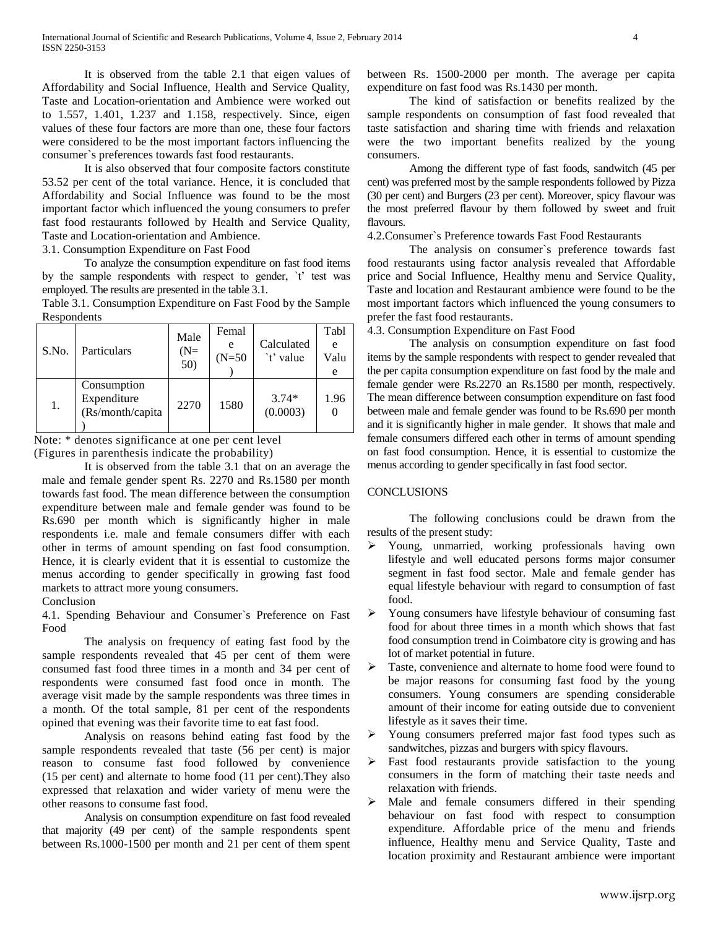It is observed from the table 2.1 that eigen values of Affordability and Social Influence, Health and Service Quality, Taste and Location-orientation and Ambience were worked out to 1.557, 1.401, 1.237 and 1.158, respectively. Since, eigen values of these four factors are more than one, these four factors were considered to be the most important factors influencing the consumer`s preferences towards fast food restaurants.

It is also observed that four composite factors constitute 53.52 per cent of the total variance. Hence, it is concluded that Affordability and Social Influence was found to be the most important factor which influenced the young consumers to prefer fast food restaurants followed by Health and Service Quality, Taste and Location-orientation and Ambience.

3.1. Consumption Expenditure on Fast Food

To analyze the consumption expenditure on fast food items by the sample respondents with respect to gender, `t' test was employed. The results are presented in the table 3.1.

Table 3.1. Consumption Expenditure on Fast Food by the Sample Respondents

| S.No. |                  | Male  | Femal    |            | Tabl |
|-------|------------------|-------|----------|------------|------|
|       | Particulars      | $(N=$ | e        | Calculated | e    |
|       |                  | 50)   | $(N=50)$ | `t' value  | Valu |
|       |                  |       |          |            | e    |
| 1.    | Consumption      |       |          |            |      |
|       | Expenditure      | 2270  | 1580     | $3.74*$    | 1.96 |
|       | (Rs/month/capita |       |          | (0.0003)   |      |
|       |                  |       |          |            |      |

Note: \* denotes significance at one per cent level

(Figures in parenthesis indicate the probability)

It is observed from the table 3.1 that on an average the male and female gender spent Rs. 2270 and Rs.1580 per month towards fast food. The mean difference between the consumption expenditure between male and female gender was found to be Rs.690 per month which is significantly higher in male respondents i.e. male and female consumers differ with each other in terms of amount spending on fast food consumption. Hence, it is clearly evident that it is essential to customize the menus according to gender specifically in growing fast food markets to attract more young consumers.

Conclusion

4.1. Spending Behaviour and Consumer`s Preference on Fast Food

The analysis on frequency of eating fast food by the sample respondents revealed that 45 per cent of them were consumed fast food three times in a month and 34 per cent of respondents were consumed fast food once in month. The average visit made by the sample respondents was three times in a month. Of the total sample, 81 per cent of the respondents opined that evening was their favorite time to eat fast food.

Analysis on reasons behind eating fast food by the sample respondents revealed that taste (56 per cent) is major reason to consume fast food followed by convenience (15 per cent) and alternate to home food (11 per cent).They also expressed that relaxation and wider variety of menu were the other reasons to consume fast food.

Analysis on consumption expenditure on fast food revealed that majority (49 per cent) of the sample respondents spent between Rs.1000-1500 per month and 21 per cent of them spent between Rs. 1500-2000 per month. The average per capita expenditure on fast food was Rs.1430 per month.

The kind of satisfaction or benefits realized by the sample respondents on consumption of fast food revealed that taste satisfaction and sharing time with friends and relaxation were the two important benefits realized by the young consumers.

Among the different type of fast foods, sandwitch (45 per cent) was preferred most by the sample respondents followed by Pizza (30 per cent) and Burgers (23 per cent). Moreover, spicy flavour was the most preferred flavour by them followed by sweet and fruit flavours.

4.2.Consumer`s Preference towards Fast Food Restaurants

The analysis on consumer`s preference towards fast food restaurants using factor analysis revealed that Affordable price and Social Influence, Healthy menu and Service Quality, Taste and location and Restaurant ambience were found to be the most important factors which influenced the young consumers to prefer the fast food restaurants.

4.3. Consumption Expenditure on Fast Food

The analysis on consumption expenditure on fast food items by the sample respondents with respect to gender revealed that the per capita consumption expenditure on fast food by the male and female gender were Rs.2270 an Rs.1580 per month, respectively. The mean difference between consumption expenditure on fast food between male and female gender was found to be Rs.690 per month and it is significantly higher in male gender. It shows that male and female consumers differed each other in terms of amount spending on fast food consumption. Hence, it is essential to customize the menus according to gender specifically in fast food sector.

# **CONCLUSIONS**

The following conclusions could be drawn from the results of the present study:

- Young, unmarried, working professionals having own lifestyle and well educated persons forms major consumer segment in fast food sector. Male and female gender has equal lifestyle behaviour with regard to consumption of fast food.
- Young consumers have lifestyle behaviour of consuming fast food for about three times in a month which shows that fast food consumption trend in Coimbatore city is growing and has lot of market potential in future.
- $\triangleright$  Taste, convenience and alternate to home food were found to be major reasons for consuming fast food by the young consumers. Young consumers are spending considerable amount of their income for eating outside due to convenient lifestyle as it saves their time.
- Young consumers preferred major fast food types such as sandwitches, pizzas and burgers with spicy flavours.
- Fast food restaurants provide satisfaction to the young consumers in the form of matching their taste needs and relaxation with friends.
- $\triangleright$  Male and female consumers differed in their spending behaviour on fast food with respect to consumption expenditure. Affordable price of the menu and friends influence, Healthy menu and Service Quality, Taste and location proximity and Restaurant ambience were important